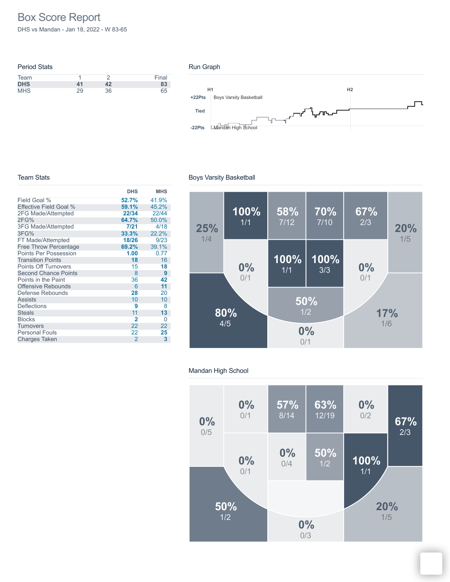# Box Score Report

DHS vs Mandan - Jan 18, 2022 - W 83-65

### Period Stats Team 1 2 Final **DHS 41 42 83** MHS 29 36 65

#### Run Graph



#### Team Stats

|                              | <b>DHS</b>     | <b>MHS</b> |
|------------------------------|----------------|------------|
| Field Goal %                 | 52.7%          | 41.9%      |
| Effective Field Goal %       | 59.1%          | 45.2%      |
| 2FG Made/Attempted           | 22/34          | 22/44      |
| 2FG%                         | 64.7%          | 50.0%      |
| <b>3FG Made/Attempted</b>    | 7/21           | 4/18       |
| 3FG%                         | 33.3%          | 22.2%      |
| FT Made/Attempted            | 18/26          | 9/23       |
| <b>Free Throw Percentage</b> | 69.2%          | 39.1%      |
| <b>Points Per Possession</b> | 1.00           | 0.77       |
| <b>Transition Points</b>     | 18             | 16         |
| <b>Points Off Turnovers</b>  | 15             | 18         |
| <b>Second Chance Points</b>  | 8              | 9          |
| Points in the Paint          | 36             | 42         |
| <b>Offensive Rebounds</b>    | 6              | 11         |
| Defense Rebounds             | 28             | 20         |
| <b>Assists</b>               | 10             | 10         |
| <b>Deflections</b>           | 9              | 8          |
| <b>Steals</b>                | 11             | 13         |
| <b>Blocks</b>                | $\overline{2}$ | Ω          |
| <b>Turnovers</b>             | 22             | 22         |
| <b>Personal Fouls</b>        | 22             | 25         |
| <b>Charges Taken</b>         | $\overline{2}$ | 3          |

## Boys Varsity Basketball



## Mandan High School